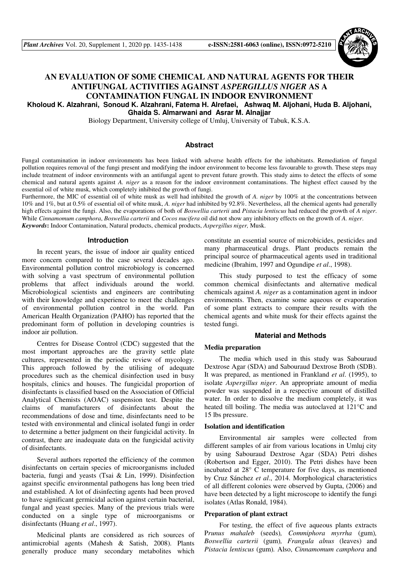

# **AN EVALUATION OF SOME CHEMICAL AND NATURAL AGENTS FOR THEIR ANTIFUNGAL ACTIVITIES AGAINST** *ASPERGILLUS NIGER* **AS A CONTAMINATION FUNGAL IN INDOOR ENVIRONMENT Kholoud K. Alzahrani, Sonoud K. Alzahrani, Fatema H. Alrefaei, Ashwaq M. Aljohani, Huda B. Aljohani,**

**Ghaida S. Almarwani and Asrar M. Alnajjar** 

Biology Department, University college of Umluj, University of Tabuk, K.S.A.

### **Abstract**

Fungal contamination in indoor environments has been linked with adverse health effects for the inhabitants. Remediation of fungal pollution requires removal of the fungi present and modifying the indoor environment to become less favourable to growth. These steps may include treatment of indoor environments with an antifungal agent to prevent future growth. This study aims to detect the effects of some chemical and natural agents against *A. niger* as a reason for the indoor environment contaminations. The highest effect caused by the essential oil of white musk, which completely inhibited the growth of fungi.

Furthermore, the MIC of essential oil of white musk as well had inhibited the growth of *A. niger* by 100% at the concentrations between 10% and 1%, but at 0.5% of essential oil of white musk, *A. niger* had inhibited by 92.8%. Nevertheless, all the chemical agents had generally high effects against the fungi. Also, the evaporations of both of *Boswellia carterii* and *Pistacia lentiscus* had reduced the growth of *A niger*. While *Cinnamomum camphora*, *Boswellia carterii* and *Cocos nucifera* oil did not show any inhibitory effects on the growth of *A. niger*. *Keywords***:** Indoor Contamination, Natural products, chemical products, *Aspergillus niger,* Musk.

### **Introduction**

In recent years, the issue of indoor air quality enticed more concern compared to the case several decades ago. Environmental pollution control microbiology is concerned with solving a vast spectrum of environmental pollution problems that affect individuals around the world. Microbiological scientists and engineers are contributing with their knowledge and experience to meet the challenges of environmental pollution control in the world. Pan American Health Organization (PAHO) has reported that the predominant form of pollution in developing countries is indoor air pollution.

Centres for Disease Control (CDC) suggested that the most important approaches are the gravity settle plate cultures, represented in the periodic review of mycology. This approach followed by the utilising of adequate procedures such as the chemical disinfection used in busy hospitals, clinics and houses. The fungicidal proportion of disinfectants is classified based on the Association of Official Analytical Chemists (AOAC) suspension test. Despite the claims of manufacturers of disinfectants about the recommendations of dose and time, disinfectants need to be tested with environmental and clinical isolated fungi in order to determine a better judgment on their fungicidal activity. In contrast, there are inadequate data on the fungicidal activity of disinfectants.

Several authors reported the efficiency of the common disinfectants on certain species of microorganisms included bacteria, fungi and yeasts (Tsai & Lin, 1999). Disinfection against specific environmental pathogens has long been tried and established. A lot of disinfecting agents had been proved to have significant germicidal action against certain bacterial, fungal and yeast species. Many of the previous trials were conducted on a single type of microorganisms or disinfectants (Huang *et al*., 1997).

Medicinal plants are considered as rich sources of antimicrobial agents (Mahesh & Satish, 2008). Plants generally produce many secondary metabolites which constitute an essential source of microbicides, pesticides and many pharmaceutical drugs. Plant products remain the principal source of pharmaceutical agents used in traditional medicine (Ibrahim, 1997 and Ogundipe *et al*., 1998).

This study purposed to test the efficacy of some common chemical disinfectants and alternative medical chemicals against *A. niger* as a contamination agent in indoor environments. Then, examine some aqueous or evaporation of some plant extracts to compare their results with the chemical agents and white musk for their effects against the tested fungi.

### **Material and Methods**

### **Media preparation**

The media which used in this study was Sabouraud Dextrose Agar (SDA) and Sabouraud Dextrose Broth (SDB). It was prepared, as mentioned in Frankland *et al*. (1995), to isolate *Aspergillus niger*. An appropriate amount of media powder was suspended in a respective amount of distilled water. In order to dissolve the medium completely, it was heated till boiling. The media was autoclaved at 121°C and 15 lbs pressure.

### **Isolation and identification**

Environmental air samples were collected from different samples of air from various locations in Umluj city by using Sabouraud Dextrose Agar (SDA) Petri dishes (Robertson and Egger, 2010). The Petri dishes have been incubated at 28° C temperature for five days, as mentioned by Cruz Sánchez *et al*., 2014. Morphological characteristics of all different colonies were observed by Gupta, (2006) and have been detected by a light microscope to identify the fungi isolates (Atlas Ronald, 1984).

#### **Preparation of plant extract**

For testing, the effect of five aqueous plants extracts P*runus mahaleb* (seeds)*, Commiphora myrrha* (gum)*, Boswellia carterii* (gum)*, Frangula alnus* (leaves) and *Pistacia lentiscus* (gum)*.* Also, *Cinnamomum camphora* and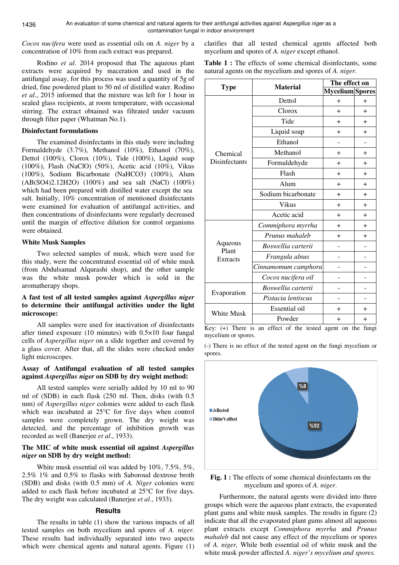*Cocos nucifera* were used as essential oils on *A. niger* by a concentration of 10% from each extract was prepared.

Rodino *et al*. 2014 proposed that The aqueous plant extracts were acquired by maceration and used in the antifungal assay, for this process was used a quantity of 5g of dried, fine powdered plant to 50 ml of distilled water. Rodino *et al*., 2015 informed that the mixture was left for 1 hour in sealed glass recipients, at room temperature, with occasional stirring. The extract obtained was filtrated under vacuum through filter paper (Whatman No.1).

### **Disinfectant formulations**

The examined disinfectants in this study were including Formaldehyde (3.7%), Methanol (10%), Ethanol (70%), Dettol (100%), Clorox (10%), Tide (100%), Liquid soap (100%), Flash (NaClO) (50%), Acetic acid (10%), Vikus (100%), Sodium Bicarbonate (NaHCO3) (100%), Alum (AB(SO4)2.12H2O) (100%) and sea salt (NaCl) (100%) which had been prepared with distilled water except the sea salt. Initially, 10% concentration of mentioned disinfectants were examined for evaluation of antifungal activities, and then concentrations of disinfectants were regularly decreased until the margin of effective dilution for control organisms were obtained.

## **White Musk Samples**

Two selected samples of musk, which were used for this study, were the concentrated essential oil of white musk (from Abdulsamad Alqurashi shop), and the other sample was the white musk powder which is sold in the aromatherapy shops.

## **A fast test of all tested samples against** *Aspergillus niger* **to determine their antifungal activities under the light microscope:**

All samples were used for inactivation of disinfectants after timed exposure (10 minutes) with 0.5×10 four fungal cells of *Aspergillus niger* on a slide together and covered by a glass cover. After that, all the slides were checked under light microscopes.

## **Assay of Antifungal evaluation of all tested samples against** *Aspergillus niger* **on SDB by dry weight method:**

All tested samples were serially added by 10 ml to 90 ml of (SDB) in each flask (250 ml. Then, disks (with 0.5 mm) of *Aspergillus niger* colonies were added to each flask which was incubated at 25°C for five days when control samples were completely grown. The dry weight was detected, and the percentage of inhibition growth was recorded as well (Banerjee *et al*., 1933).

## **The MIC of white musk essential oil against** *Aspergillus niger* **on SDB by dry weight method:**

White musk essential oil was added by 10%, 7.5%, 5%, 2.5% 1% and 0.5% to flasks with Saboroud dextrose broth (SDB) and disks (with 0.5 mm) of *A. Niger* colonies were added to each flask before incubated at 25°C for five days. The dry weight was calculated (Banerjee *et al*., 1933).

## **Results**

The results in table (1) show the various impacts of all tested samples on both mycelium and spores of *A. niger.* These results had individually separated into two aspects which were chemical agents and natural agents. Figure (1) clarifies that all tested chemical agents affected both mycelium and spores of *A. niger* except ethanol.

**Table 1 :** The effects of some chemical disinfectants, some natural agents on the mycelium and spores of *A. niger*.

|                                     | <b>Material</b>     | The effect on          |           |
|-------------------------------------|---------------------|------------------------|-----------|
| <b>Type</b>                         |                     | <b>Mycelium</b> Spores |           |
| Chemical<br>Disinfectants           | Dettol              | $\ddot{}$              | $\div$    |
|                                     | Clorox              | $+$                    | $\ddot{}$ |
|                                     | Tide                | $\ddot{}$              | $\pm$     |
|                                     | Liquid soap         | $\ddot{}$              | $+$       |
|                                     | Ethanol             |                        |           |
|                                     | Methanol            | $\ddot{}$              | $\ddag$   |
|                                     | Formaldehyde        | $\ddot{}$              | $\ddag$   |
|                                     | Flash               | $\ddot{}$              | $+$       |
|                                     | Alum                | $\pm$                  | $\ddag$   |
|                                     | Sodium bicarbonate  | $+$                    | $\ddag$   |
|                                     | Vikus               | $\ddot{}$              | $+$       |
|                                     | Acetic acid         | $\ddot{}$              | $+$       |
| Aqueous<br>Plant<br><b>Extracts</b> | Commiphora myrrha   | $\ddot{}$              | $+$       |
|                                     | Prunus mahaleb      | $\ddot{}$              | $+$       |
|                                     | Boswellia carterii  |                        |           |
|                                     | Frangula alnus      |                        |           |
|                                     | Cinnamomum camphora |                        |           |
|                                     | Cocos nucifera oil  |                        |           |
| Evaporation                         | Boswellia carterii  |                        |           |
|                                     | Pistacia lentiscus  |                        |           |
| <b>White Musk</b>                   | Essential oil       | $\div$                 | $+$       |
|                                     | Powder              | ┿                      | $+$       |

Key: (+) There is an effect of the tested agent on the fungi mycelium or spores.

(-) There is no effect of the tested agent on the fungi mycelium or spores.



**Fig. 1 :** The effects of some chemical disinfectants on the mycelium and spores of *A. niger*.

Furthermore, the natural agents were divided into three groups which were the aqueous plant extracts, the evaporated plant gums and white musk samples. The results in figure (2) indicate that all the evaporated plant gums almost all aqueous plant extracts except *Commiphora myrrha* and *Prunus mahaleb* did not cause any effect of the mycelium or spores of *A. niger,* While both essential oil of white musk and the white musk powder affected *A. niger's mycelium and spores.*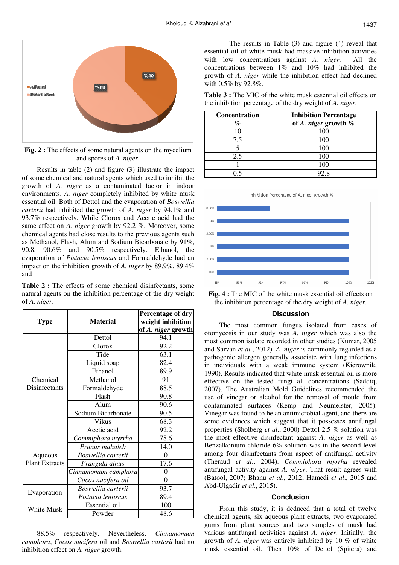

**Fig. 2 :** The effects of some natural agents on the mycelium and spores of *A. niger*.

Results in table (2) and figure (3) illustrate the impact of some chemical and natural agents which used to inhibit the growth of *A. niger* as a contaminated factor in indoor environments. *A. niger* completely inhibited by white musk essential oil. Both of Dettol and the evaporation of *Boswellia carterii* had inhibited the growth of *A. niger* by 94.1% and 93.7% respectively. While Clorox and Acetic acid had the same effect on *A. niger* growth by 92.2 %. Moreover, some chemical agents had close results to the previous agents such as Methanol, Flash, Alum and Sodium Bicarbonate by 91%, 90.8, 90.6% and 90.5% respectively. Ethanol, the evaporation of *Pistacia lentiscus* and Formaldehyde had an impact on the inhibition growth of *A. niger* by 89.9%, 89.4% and

**Table 2 :** The effects of some chemical disinfectants, some natural agents on the inhibition percentage of the dry weight of *A. niger*.

| <b>Type</b>                      | <b>Material</b>     | Percentage of dry<br>weight inhibition<br>of A. niger growth |
|----------------------------------|---------------------|--------------------------------------------------------------|
| Chemical<br>Disinfectants        | Dettol              | 94.1                                                         |
|                                  | Clorox              | 92.2                                                         |
|                                  | Tide                | 63.1                                                         |
|                                  | Liquid soap         | 82.4                                                         |
|                                  | Ethanol             | 89.9                                                         |
|                                  | Methanol            | 91                                                           |
|                                  | Formaldehyde        | 88.5                                                         |
|                                  | Flash               | 90.8                                                         |
|                                  | Alum                | 90.6                                                         |
|                                  | Sodium Bicarbonate  | 90.5                                                         |
|                                  | Vikus               | 68.3                                                         |
|                                  | Acetic acid         | $92.\overline{2}$                                            |
| Aqueous<br><b>Plant Extracts</b> | Commiphora myrrha   | 78.6                                                         |
|                                  | Prunus mahaleb      | 14.0                                                         |
|                                  | Boswellia carterii  | $\theta$                                                     |
|                                  | Frangula alnus      | 17.6                                                         |
|                                  | Cinnamomum camphora | 0                                                            |
|                                  | Cocos nucifera oil  | $\theta$                                                     |
| Evaporation                      | Boswellia carterii  | 93.7                                                         |
|                                  | Pistacia lentiscus  | 89.4                                                         |
| White Musk                       | Essential oil       | 100                                                          |
|                                  | Powder              | 48.6                                                         |

88.5% respectively. Nevertheless, *Cinnamomum camphora*, *Cocos nucifera* oil and *Boswellia carterii* had no inhibition effect on *A. niger* growth.

 The results in Table (3) and figure (4) reveal that essential oil of white musk had massive inhibition activities with low concentrations against *A. niger*. All the concentrations between 1% and 10% had inhibited the growth of *A. niger* while the inhibition effect had declined with 0.5% by 92.8%.

**Table 3 :** The MIC of the white musk essential oil effects on the inhibition percentage of the dry weight of *A. niger*.

| <b>Concentration</b><br>$\%$ | <b>Inhibition Percentage</b><br>of A. niger growth $%$ |
|------------------------------|--------------------------------------------------------|
| 10                           | 100                                                    |
| 7.5                          | 100                                                    |
|                              | 100                                                    |
| 2.5                          | 100                                                    |
|                              |                                                        |
|                              | 2 S                                                    |





### **Discussion**

The most common fungus isolated from cases of otomycosis in our study was *A. niger* which was also the most common isolate recorded in other studies (Kumar, 2005 and Sarvan *et al*., 2012). *A. niger* is commonly regarded as a pathogenic allergen generally associate with lung infections in individuals with a weak immune system (Kierownik, 1990). Results indicated that white musk essential oil is more effective on the tested fungi all concentrations (Saddiq, 2007). The Australian Mold Guidelines recommended the use of vinegar or alcohol for the removal of mould from contaminated surfaces (Kemp and Neumeister, 2005). Vinegar was found to be an antimicrobial agent, and there are some evidences which suggest that it possesses antifungal properties (Sholberg *et al*., 2000) Dettol 2.5 % solution was the most effective disinfectant against *A. niger* as well as Benzalkonium chloride 6% solution was in the second level among four disinfectants from aspect of antifungal activity (Thėraud *et al*., 2004). *Commiphora myrrha* revealed antifungal activity against *A. niger*. That result agrees with (Batool, 2007; Bhanu *et al*., 2012; Hamedi *et al*., 2015 and Abd-Ulgadir *et al*., 2015).

### **Conclusion**

From this study, it is deduced that a total of twelve chemical agents, six aqueous plant extracts, two evaporated gums from plant sources and two samples of musk had various antifungal activities against *A. niger*. Initially, the growth of *A. niger* was entirely inhibited by 10 % of white musk essential oil. Then 10% of Dettol (Spitera) and